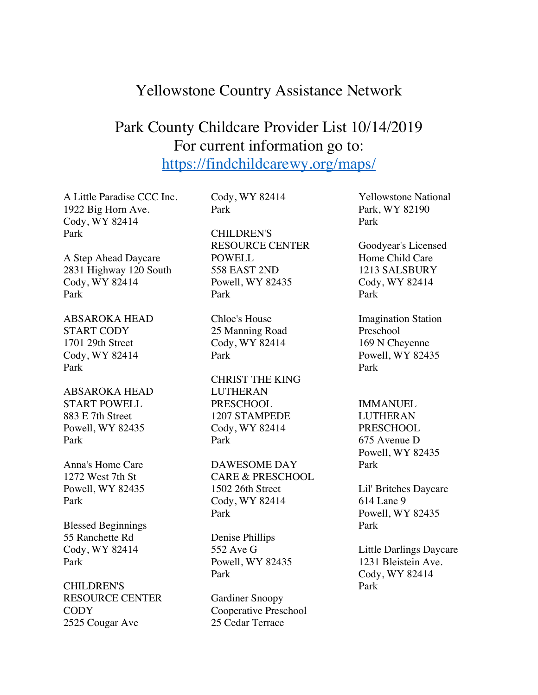## Yellowstone Country Assistance Network

# Park County Childcare Provider List 10/14/2019 For current information go to: https://findchildcarewy.org/maps/

A Little Paradise CCC Inc. 1922 Big Horn Ave. Cody, WY 82414 Park

A Step Ahead Daycare 2831 Highway 120 South Cody, WY 82414 Park

ABSAROKA HEAD START CODY 1701 29th Street Cody, WY 82414 Park

ABSAROKA HEAD START POWELL 883 E 7th Street Powell, WY 82435 Park

Anna's Home Care 1272 West 7th St Powell, WY 82435 Park

Blessed Beginnings 55 Ranchette Rd Cody, WY 82414 Park

CHILDREN'S RESOURCE CENTER **CODY** 2525 Cougar Ave

Cody, WY 82414 Park

CHILDREN'S RESOURCE CENTER POWELL 558 EAST 2ND Powell, WY 82435 Park

Chloe's House 25 Manning Road Cody, WY 82414 Park

CHRIST THE KING LUTHERAN PRESCHOOL 1207 STAMPEDE Cody, WY 82414 Park

DAWESOME DAY CARE & PRESCHOOL 1502 26th Street Cody, WY 82414 Park

Denise Phillips 552 Ave G Powell, WY 82435 Park

Gardiner Snoopy Cooperative Preschool 25 Cedar Terrace

Yellowstone National Park, WY 82190 Park

Goodyear's Licensed Home Child Care 1213 SALSBURY Cody, WY 82414 Park

Imagination Station Preschool 169 N Cheyenne Powell, WY 82435 Park

IMMANUEL LUTHERAN PRESCHOOL 675 Avenue D Powell, WY 82435 Park

Lil' Britches Daycare 614 Lane 9 Powell, WY 82435 Park

Little Darlings Daycare 1231 Bleistein Ave. Cody, WY 82414 Park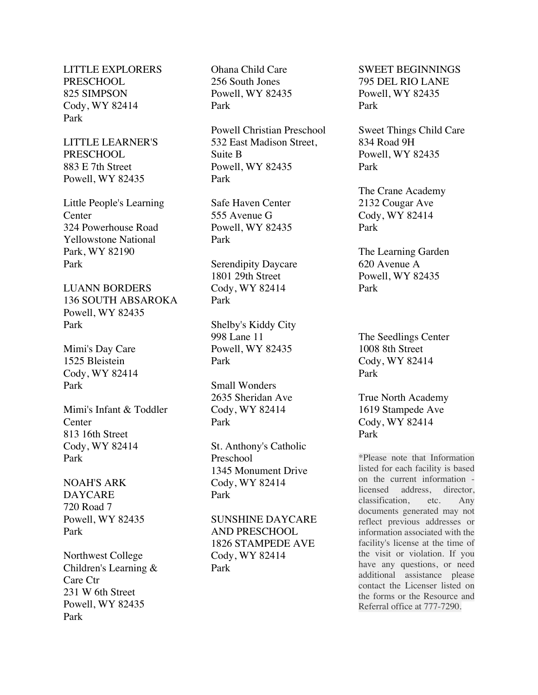LITTLE EXPLORERS PRESCHOOL 825 SIMPSON Cody, WY 82414 Park

LITTLE LEARNER'S PRESCHOOL 883 E 7th Street Powell, WY 82435

Little People's Learning **Center** 324 Powerhouse Road Yellowstone National Park, WY 82190 Park

LUANN BORDERS 136 SOUTH ABSAROKA Powell, WY 82435 Park

Mimi's Day Care 1525 Bleistein Cody, WY 82414 Park

Mimi's Infant & Toddler **Center** 813 16th Street Cody, WY 82414 Park

NOAH'S ARK DAYCARE 720 Road 7 Powell, WY 82435 Park

Northwest College Children's Learning & Care Ctr 231 W 6th Street Powell, WY 82435 Park

Ohana Child Care 256 South Jones Powell, WY 82435 Park

Powell Christian Preschool 532 East Madison Street, Suite B Powell, WY 82435 Park

Safe Haven Center 555 Avenue G Powell, WY 82435 Park

Serendipity Daycare 1801 29th Street Cody, WY 82414 Park

Shelby's Kiddy City 998 Lane 11 Powell, WY 82435 Park

Small Wonders 2635 Sheridan Ave Cody, WY 82414 Park

St. Anthony's Catholic Preschool 1345 Monument Drive Cody, WY 82414 Park

SUNSHINE DAYCARE AND PRESCHOOL 1826 STAMPEDE AVE Cody, WY 82414 Park

SWEET BEGINNINGS 795 DEL RIO LANE Powell, WY 82435 Park

Sweet Things Child Care 834 Road 9H Powell, WY 82435 Park

The Crane Academy 2132 Cougar Ave Cody, WY 82414 Park

The Learning Garden 620 Avenue A Powell, WY 82435 Park

The Seedlings Center 1008 8th Street Cody, WY 82414 Park

True North Academy 1619 Stampede Ave Cody, WY 82414 Park

\*Please note that Information listed for each facility is based on the current information licensed address, director, classification, etc. Any documents generated may not reflect previous addresses or information associated with the facility's license at the time of the visit or violation. If you have any questions, or need additional assistance please contact the Licenser listed on the forms or the Resource and Referral office at 777-7290.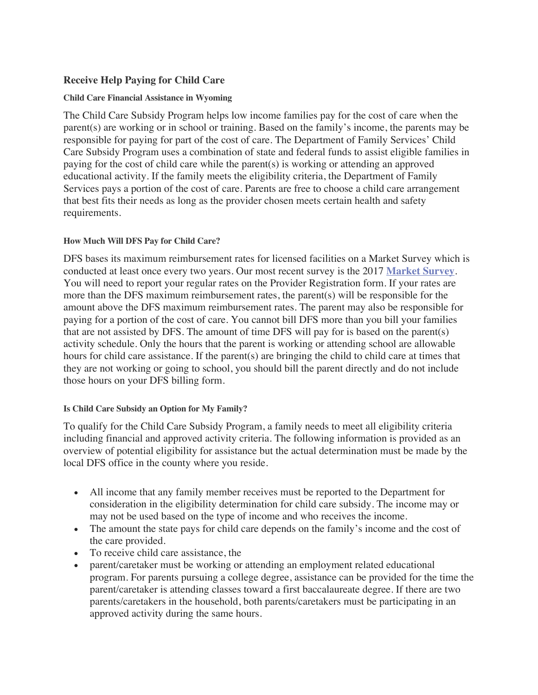### **Receive Help Paying for Child Care**

#### **Child Care Financial Assistance in Wyoming**

The Child Care Subsidy Program helps low income families pay for the cost of care when the parent(s) are working or in school or training. Based on the family's income, the parents may be responsible for paying for part of the cost of care. The Department of Family Services' Child Care Subsidy Program uses a combination of state and federal funds to assist eligible families in paying for the cost of child care while the parent(s) is working or attending an approved educational activity. If the family meets the eligibility criteria, the Department of Family Services pays a portion of the cost of care. Parents are free to choose a child care arrangement that best fits their needs as long as the provider chosen meets certain health and safety requirements.

### **How Much Will DFS Pay for Child Care?**

DFS bases its maximum reimbursement rates for licensed facilities on a Market Survey which is conducted at least once every two years. Our most recent survey is the 2017 **Market Survey**. You will need to report your regular rates on the Provider Registration form. If your rates are more than the DFS maximum reimbursement rates, the parent(s) will be responsible for the amount above the DFS maximum reimbursement rates. The parent may also be responsible for paying for a portion of the cost of care. You cannot bill DFS more than you bill your families that are not assisted by DFS. The amount of time DFS will pay for is based on the parent(s) activity schedule. Only the hours that the parent is working or attending school are allowable hours for child care assistance. If the parent(s) are bringing the child to child care at times that they are not working or going to school, you should bill the parent directly and do not include those hours on your DFS billing form.

#### **Is Child Care Subsidy an Option for My Family?**

To qualify for the Child Care Subsidy Program, a family needs to meet all eligibility criteria including financial and approved activity criteria. The following information is provided as an overview of potential eligibility for assistance but the actual determination must be made by the local DFS office in the county where you reside.

- All income that any family member receives must be reported to the Department for consideration in the eligibility determination for child care subsidy. The income may or may not be used based on the type of income and who receives the income.
- The amount the state pays for child care depends on the family's income and the cost of the care provided.
- To receive child care assistance, the
- parent/caretaker must be working or attending an employment related educational program. For parents pursuing a college degree, assistance can be provided for the time the parent/caretaker is attending classes toward a first baccalaureate degree. If there are two parents/caretakers in the household, both parents/caretakers must be participating in an approved activity during the same hours.